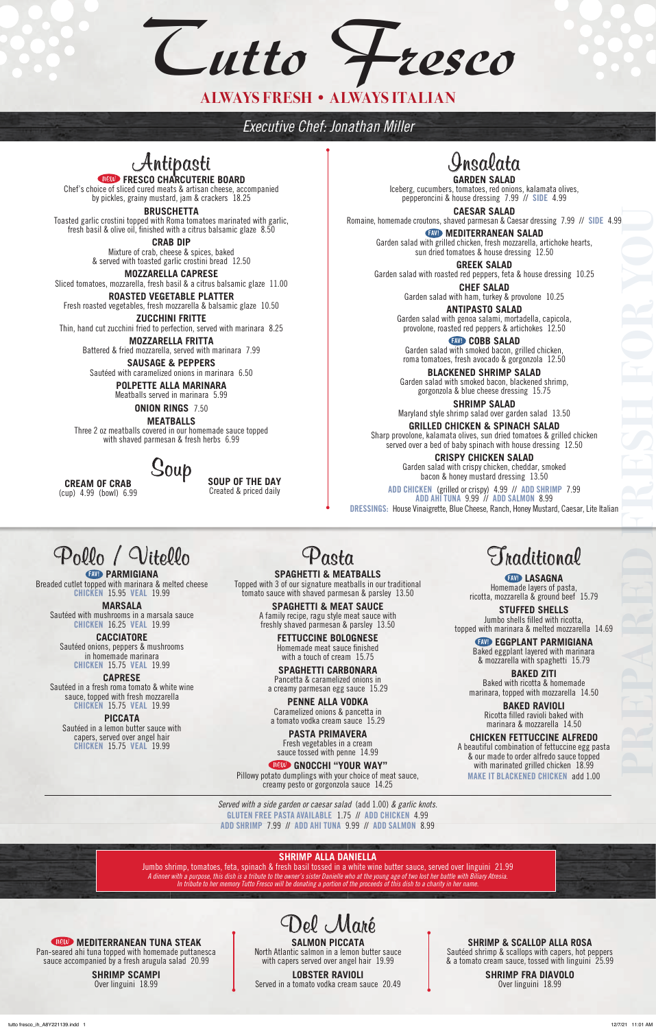## Antipasti new **FRESCO CHARCUTERIE BOARD**

Chef's choice of sliced cured meats & artisan cheese, accompanied by pickles, grainy mustard, jam & crackers 18.25

**BRUSCHETTA**

Toasted garlic crostini topped with Roma tomatoes marinated with garlic, fresh basil & olive oil, finished with a citrus balsamic glaze 8.50

> **CRAB DIP** Mixture of crab, cheese & spices, baked & served with toasted garlic crostini bread 12.50

**MOZZARELLA CAPRESE** Sliced tomatoes, mozzarella, fresh basil & a citrus balsamic glaze 11.00

**ROASTED VEGETABLE PLATTER** Fresh roasted vegetables, fresh mozzarella & balsamic glaze 10.50

**ZUCCHINI FRITTE** Thin, hand cut zucchini fried to perfection, served with marinara 8.25

> **MOZZARELLA FRITTA** Battered & fried mozzarella, served with marinara 7.99

**SAUSAGE & PEPPERS** Sautéed with caramelized onions in marinara 6.50

> **POLPETTE ALLA MARINARA** Meatballs served in marinara 5.99

**EXVID** COBB SALAD Garden salad with smoked bacon, grilled chicken, roma tomatoes, fresh avocado & gorgonzola 12.50

**ONION RINGS** 7.50

**MEATBALLS** Three 2 oz meatballs covered in our homemade sauce topped with shaved parmesan & fresh herbs 6.99

### Insalata **GARDEN SALAD**

Iceberg, cucumbers, tomatoes, red onions, kalamata olives, pepperoncini & house dressing 7.99 // SIDE 4.99

**CAESAR SALAD** Romaine, homemade croutons, shaved parmesan & Caesar dressing 7.99 // SIDE 4.99

FAV! **MEDITERRANEAN SALAD** Garden salad with grilled chicken, fresh mozzarella, artichoke hearts, sun dried tomatoes & house dressing 12.50

**GREEK SALAD** Garden salad with roasted red peppers, feta & house dressing 10.25

> **CHEF SALAD** Garden salad with ham, turkey & provolone 10.25

**ANTIPASTO SALAD** Garden salad with genoa salami, mortadella, capicola, provolone, roasted red peppers & artichokes 12.50

**BLACKENED SHRIMP SALAD** Garden salad with smoked bacon, blackened shrimp, gorgonzola & blue cheese dressing 15.75

> **END LASAGNA** Homemade layers of pasta, ricotta, mozzarella & ground beef 15.79

**SHRIMP SALAD** Maryland style shrimp salad over garden salad 13.50

**GRILLED CHICKEN & SPINACH SALAD** Sharp provolone, kalamata olives, sun dried tomatoes & grilled chicken served over a bed of baby spinach with house dressing 12.50

> **CRISPY CHICKEN SALAD** Garden salad with crispy chicken, cheddar, smoked bacon & honey mustard dressing 13.50

**EXID PARMIGIANA** Breaded cutlet topped with marinara & melted cheese CHICKEN 15.95 VEAL 19.99

ADD CHICKEN (grilled or crispy) 4.99 // ADD SHRIMP 7.99 ADD AHI TUNA 9.99 // ADD SALMON 8.99 DRESSINGS: House Vinaigrette, Blue Cheese, Ranch, Honey Mustard, Caesar, Lite Italian

Soup **CREAM OF CRAB** (cup) 4.99 (bowl) 6.99

**SOUP OF THE DAY** Created & priced daily



#### new **MEDITERRANEAN TUNA STEAK**

Pan-seared ahi tuna topped with homemade puttanesca sauce accompanied by a fresh arugula salad 20.99

> **SHRIMP SCAMPI** Over linguini 18.99

#### **SALMON PICCATA**

North Atlantic salmon in a lemon butter sauce with capers served over angel hair 19.99

**LOBSTER RAVIOLI** Served in a tomato vodka cream sauce 20.49

#### **SHRIMP & SCALLOP ALLA ROSA**

Sautéed shrimp & scallops with capers, hot peppers & a tomato cream sauce, tossed with linguini 25.99

> **SHRIMP FRA DIAVOLO** Over linguini 18.99



**SPAGHETTI & MEATBALLS** Topped with 3 of our signature meatballs in our traditional tomato sauce with shaved parmesan & parsley 13.50

> **SPAGHETTI & MEAT SAUCE** A family recipe, ragu style meat sauce with freshly shaved parmesan & parsley 13.50

> > **FETTUCCINE BOLOGNESE** Homemade meat sauce finished with a touch of cream 15.75

**SPAGHETTI CARBONARA** Pancetta & caramelized onions in a creamy parmesan egg sauce 15.29

**PENNE ALLA VODKA** Caramelized onions & pancetta in a tomato vodka cream sauce 15.29

> **PASTA PRIMAVERA** Fresh vegetables in a cream

sauce tossed with penne 14.99

new **GNOCCHI "YOUR WAY"**

Pillowy potato dumplings with your choice of meat sauce, creamy pesto or gorgonzola sauce 14.25

### Traditional

**STUFFED SHELLS** Jumbo shells filled with ricotta, topped with marinara & melted mozzarella 14.69

FAV! **EGGPLANT PARMIGIANA** Baked eggplant layered with marinara & mozzarella with spaghetti 15.79

**BAKED ZITI** Baked with ricotta & homemade marinara, topped with mozzarella 14.50

> **BAKED RAVIOLI** Ricotta filled ravioli baked with marinara & mozzarella 14.50

**CHICKEN FETTUCCINE ALFREDO**

A beautiful combination of fettuccine egg pasta & our made to order alfredo sauce topped with marinated grilled chicken 18.99 MAKE IT BLACKENED CHICKEN add 1.00

## Pollo / Vitello

**MARSALA** Sautéed with mushrooms in a marsala sauce CHICKEN 16.25 VEAL 19.99

**CACCIATORE** Sautéed onions, peppers & mushrooms in homemade marinara CHICKEN 15.75 VEAL 19.99

**CAPRESE** Sautéed in a fresh roma tomato & white wine sauce, topped with fresh mozzarella CHICKEN 15.75 VEAL 19.99

**PICCATA** Sautéed in a lemon butter sauce with capers, served over angel hair CHICKEN 15.75 VEAL 19.99

> *Served with a side garden or caesar salad* (add 1.00) *& garlic knots.*  GLUTEN FREE PASTA AVAILABLE 1.75 // ADD CHICKEN 4.99 ADD SHRIMP 7.99 // ADD AHI TUNA 9.99 // ADD SALMON 8.99

**PREPARED FRESH FOR YOU**

*Tutto Fresco*

### **ALWAYS FRESH • ALWAYS ITALIAN**

#### **SHRIMP ALLA DANIELLA**

Jumbo shrimp, tomatoes, feta, spinach & fresh basil tossed in a white wine butter sauce, served over linguini 21.99 *A dinner with a purpose, this dish is a tribute to the owner's sister Danielle who at the young age of two lost her battle with Biliary Atresia. In tribute to her memory Tutto Fresco will be donating a portion of the proceeds of this dish to a charity in her name.*

*Executive Chef: Jonathan Miller*